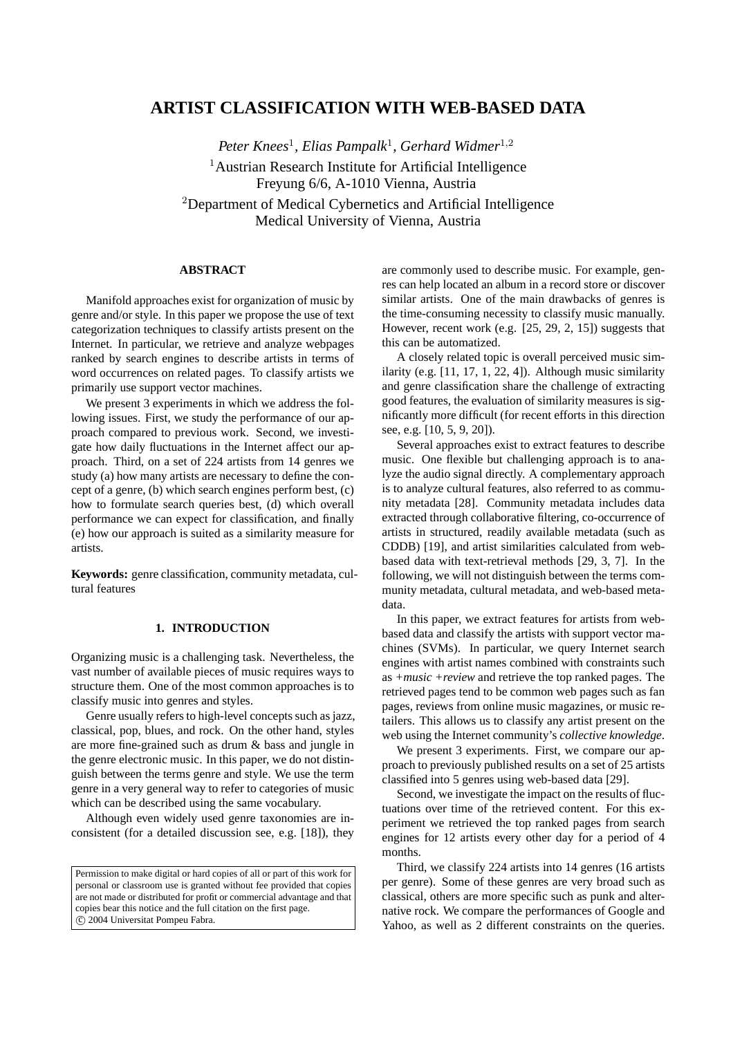# **ARTIST CLASSIFICATION WITH WEB-BASED DATA**

*Peter Knees*<sup>1</sup> *, Elias Pampalk*<sup>1</sup> *, Gerhard Widmer*<sup>1</sup>,<sup>2</sup> <sup>1</sup> Austrian Research Institute for Artificial Intelligence Freyung 6/6, A-1010 Vienna, Austria <sup>2</sup>Department of Medical Cybernetics and Artificial Intelligence Medical University of Vienna, Austria

## **ABSTRACT**

Manifold approaches exist for organization of music by genre and/or style. In this paper we propose the use of text categorization techniques to classify artists present on the Internet. In particular, we retrieve and analyze webpages ranked by search engines to describe artists in terms of word occurrences on related pages. To classify artists we primarily use support vector machines.

We present 3 experiments in which we address the following issues. First, we study the performance of our approach compared to previous work. Second, we investigate how daily fluctuations in the Internet affect our approach. Third, on a set of 224 artists from 14 genres we study (a) how many artists are necessary to define the concept of a genre, (b) which search engines perform best, (c) how to formulate search queries best, (d) which overall performance we can expect for classification, and finally (e) how our approach is suited as a similarity measure for artists.

**Keywords:** genre classification, community metadata, cultural features

## **1. INTRODUCTION**

Organizing music is a challenging task. Nevertheless, the vast number of available pieces of music requires ways to structure them. One of the most common approaches is to classify music into genres and styles.

Genre usually refers to high-level concepts such as jazz, classical, pop, blues, and rock. On the other hand, styles are more fine-grained such as drum & bass and jungle in the genre electronic music. In this paper, we do not distinguish between the terms genre and style. We use the term genre in a very general way to refer to categories of music which can be described using the same vocabulary.

Although even widely used genre taxonomies are inconsistent (for a detailed discussion see, e.g. [18]), they

Permission to make digital or hard copies of all or part of this work for personal or classroom use is granted without fee provided that copies are not made or distributed for profit or commercial advantage and that copies bear this notice and the full citation on the first page. °c 2004 Universitat Pompeu Fabra.

are commonly used to describe music. For example, genres can help located an album in a record store or discover similar artists. One of the main drawbacks of genres is the time-consuming necessity to classify music manually. However, recent work (e.g. [25, 29, 2, 15]) suggests that this can be automatized.

A closely related topic is overall perceived music similarity (e.g. [11, 17, 1, 22, 4]). Although music similarity and genre classification share the challenge of extracting good features, the evaluation of similarity measures is significantly more difficult (for recent efforts in this direction see, e.g. [10, 5, 9, 20]).

Several approaches exist to extract features to describe music. One flexible but challenging approach is to analyze the audio signal directly. A complementary approach is to analyze cultural features, also referred to as community metadata [28]. Community metadata includes data extracted through collaborative filtering, co-occurrence of artists in structured, readily available metadata (such as CDDB) [19], and artist similarities calculated from webbased data with text-retrieval methods [29, 3, 7]. In the following, we will not distinguish between the terms community metadata, cultural metadata, and web-based metadata.

In this paper, we extract features for artists from webbased data and classify the artists with support vector machines (SVMs). In particular, we query Internet search engines with artist names combined with constraints such as *+music +review* and retrieve the top ranked pages. The retrieved pages tend to be common web pages such as fan pages, reviews from online music magazines, or music retailers. This allows us to classify any artist present on the web using the Internet community's *collective knowledge*.

We present 3 experiments. First, we compare our approach to previously published results on a set of 25 artists classified into 5 genres using web-based data [29].

Second, we investigate the impact on the results of fluctuations over time of the retrieved content. For this experiment we retrieved the top ranked pages from search engines for 12 artists every other day for a period of 4 months.

Third, we classify 224 artists into 14 genres (16 artists per genre). Some of these genres are very broad such as classical, others are more specific such as punk and alternative rock. We compare the performances of Google and Yahoo, as well as 2 different constraints on the queries.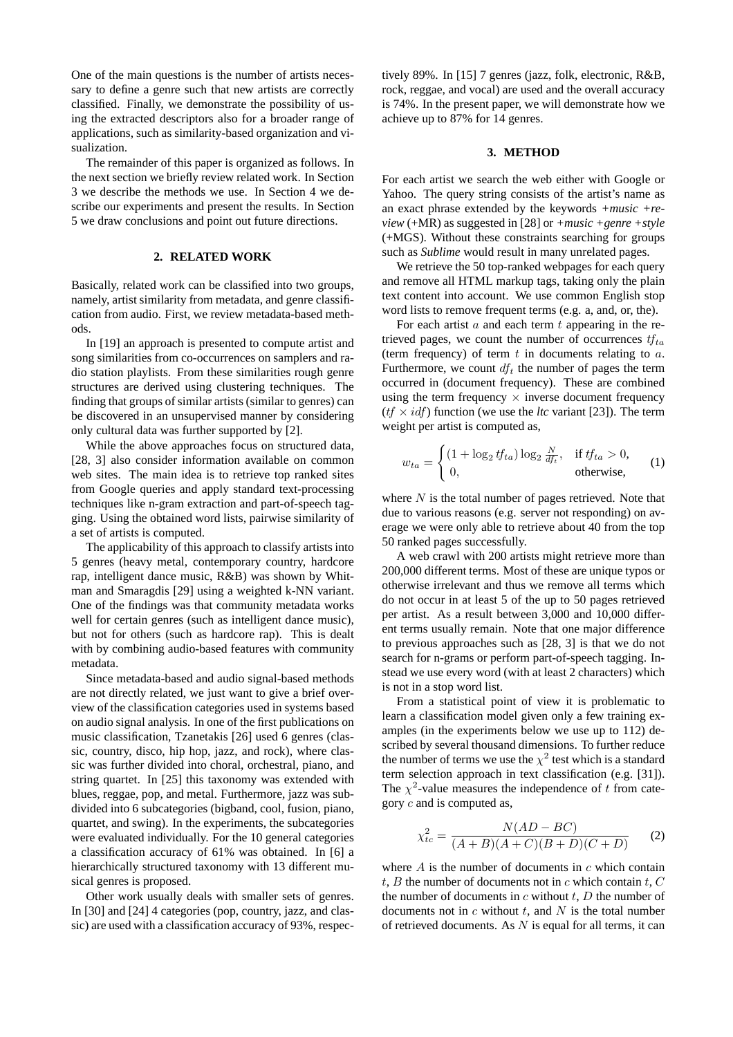One of the main questions is the number of artists necessary to define a genre such that new artists are correctly classified. Finally, we demonstrate the possibility of using the extracted descriptors also for a broader range of applications, such as similarity-based organization and visualization.

The remainder of this paper is organized as follows. In the next section we briefly review related work. In Section 3 we describe the methods we use. In Section 4 we describe our experiments and present the results. In Section 5 we draw conclusions and point out future directions.

## **2. RELATED WORK**

Basically, related work can be classified into two groups, namely, artist similarity from metadata, and genre classification from audio. First, we review metadata-based methods.

In [19] an approach is presented to compute artist and song similarities from co-occurrences on samplers and radio station playlists. From these similarities rough genre structures are derived using clustering techniques. The finding that groups of similar artists (similar to genres) can be discovered in an unsupervised manner by considering only cultural data was further supported by [2].

While the above approaches focus on structured data, [28, 3] also consider information available on common web sites. The main idea is to retrieve top ranked sites from Google queries and apply standard text-processing techniques like n-gram extraction and part-of-speech tagging. Using the obtained word lists, pairwise similarity of a set of artists is computed.

The applicability of this approach to classify artists into 5 genres (heavy metal, contemporary country, hardcore rap, intelligent dance music, R&B) was shown by Whitman and Smaragdis [29] using a weighted k-NN variant. One of the findings was that community metadata works well for certain genres (such as intelligent dance music), but not for others (such as hardcore rap). This is dealt with by combining audio-based features with community metadata.

Since metadata-based and audio signal-based methods are not directly related, we just want to give a brief overview of the classification categories used in systems based on audio signal analysis. In one of the first publications on music classification, Tzanetakis [26] used 6 genres (classic, country, disco, hip hop, jazz, and rock), where classic was further divided into choral, orchestral, piano, and string quartet. In [25] this taxonomy was extended with blues, reggae, pop, and metal. Furthermore, jazz was subdivided into 6 subcategories (bigband, cool, fusion, piano, quartet, and swing). In the experiments, the subcategories were evaluated individually. For the 10 general categories a classification accuracy of 61% was obtained. In [6] a hierarchically structured taxonomy with 13 different musical genres is proposed.

Other work usually deals with smaller sets of genres. In [30] and [24] 4 categories (pop, country, jazz, and classic) are used with a classification accuracy of 93%, respectively 89%. In [15] 7 genres (jazz, folk, electronic, R&B, rock, reggae, and vocal) are used and the overall accuracy is 74%. In the present paper, we will demonstrate how we achieve up to 87% for 14 genres.

#### **3. METHOD**

For each artist we search the web either with Google or Yahoo. The query string consists of the artist's name as an exact phrase extended by the keywords *+music +review* (+MR) as suggested in [28] or *+music +genre +style* (+MGS). Without these constraints searching for groups such as *Sublime* would result in many unrelated pages.

We retrieve the 50 top-ranked webpages for each query and remove all HTML markup tags, taking only the plain text content into account. We use common English stop word lists to remove frequent terms (e.g. a, and, or, the).

For each artist  $a$  and each term  $t$  appearing in the retrieved pages, we count the number of occurrences  $tf_{ta}$ (term frequency) of term  $t$  in documents relating to  $a$ . Furthermore, we count  $df_t$  the number of pages the term occurred in (document frequency). These are combined using the term frequency  $\times$  inverse document frequency  $(tf \times idf)$  function (we use the *ltc* variant [23]). The term weight per artist is computed as,

$$
w_{ta} = \begin{cases} (1 + \log_2 t f_{ta}) \log_2 \frac{N}{df_t}, & \text{if } tf_{ta} > 0, \\ 0, & \text{otherwise,} \end{cases}
$$
 (1)

where  $N$  is the total number of pages retrieved. Note that due to various reasons (e.g. server not responding) on average we were only able to retrieve about 40 from the top 50 ranked pages successfully.

A web crawl with 200 artists might retrieve more than 200,000 different terms. Most of these are unique typos or otherwise irrelevant and thus we remove all terms which do not occur in at least 5 of the up to 50 pages retrieved per artist. As a result between 3,000 and 10,000 different terms usually remain. Note that one major difference to previous approaches such as [28, 3] is that we do not search for n-grams or perform part-of-speech tagging. Instead we use every word (with at least 2 characters) which is not in a stop word list.

From a statistical point of view it is problematic to learn a classification model given only a few training examples (in the experiments below we use up to 112) described by several thousand dimensions. To further reduce the number of terms we use the  $\chi^2$  test which is a standard term selection approach in text classification (e.g. [31]). The  $\chi^2$ -value measures the independence of t from category  $c$  and is computed as,

$$
\chi_{tc}^2 = \frac{N(AD - BC)}{(A + B)(A + C)(B + D)(C + D)}\tag{2}
$$

where  $A$  is the number of documents in  $c$  which contain t, B the number of documents not in c which contain t,  $C$ the number of documents in  $c$  without  $t$ ,  $D$  the number of documents not in  $c$  without  $t$ , and  $N$  is the total number of retrieved documents. As  $N$  is equal for all terms, it can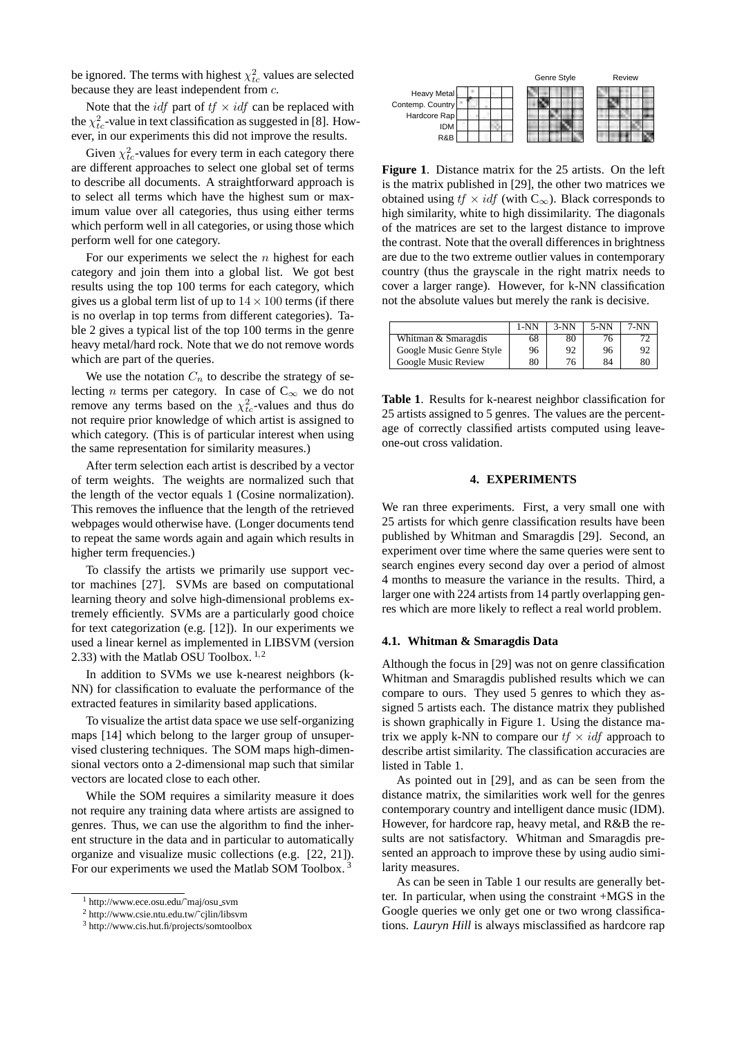be ignored. The terms with highest  $\chi^2_{tc}$  values are selected because they are least independent from c.

Note that the *idf* part of  $tf \times idf$  can be replaced with the  $\chi^2_{tc}$ -value in text classification as suggested in [8]. However, in our experiments this did not improve the results.

Given  $\chi^2_{tc}$ -values for every term in each category there are different approaches to select one global set of terms to describe all documents. A straightforward approach is to select all terms which have the highest sum or maximum value over all categories, thus using either terms which perform well in all categories, or using those which perform well for one category.

For our experiments we select the  $n$  highest for each category and join them into a global list. We got best results using the top 100 terms for each category, which gives us a global term list of up to  $14 \times 100$  terms (if there is no overlap in top terms from different categories). Table 2 gives a typical list of the top 100 terms in the genre heavy metal/hard rock. Note that we do not remove words which are part of the queries.

We use the notation  $C_n$  to describe the strategy of selecting *n* terms per category. In case of  $C_{\infty}$  we do not remove any terms based on the  $\chi^2_{tc}$ -values and thus do not require prior knowledge of which artist is assigned to which category. (This is of particular interest when using the same representation for similarity measures.)

After term selection each artist is described by a vector of term weights. The weights are normalized such that the length of the vector equals 1 (Cosine normalization). This removes the influence that the length of the retrieved webpages would otherwise have. (Longer documents tend to repeat the same words again and again which results in higher term frequencies.)

To classify the artists we primarily use support vector machines [27]. SVMs are based on computational learning theory and solve high-dimensional problems extremely efficiently. SVMs are a particularly good choice for text categorization (e.g. [12]). In our experiments we used a linear kernel as implemented in LIBSVM (version 2.33) with the Matlab OSU Toolbox.  $1,2$ 

In addition to SVMs we use k-nearest neighbors (k-NN) for classification to evaluate the performance of the extracted features in similarity based applications.

To visualize the artist data space we use self-organizing maps [14] which belong to the larger group of unsupervised clustering techniques. The SOM maps high-dimensional vectors onto a 2-dimensional map such that similar vectors are located close to each other.

While the SOM requires a similarity measure it does not require any training data where artists are assigned to genres. Thus, we can use the algorithm to find the inherent structure in the data and in particular to automatically organize and visualize music collections (e.g. [22, 21]). For our experiments we used the Matlab SOM Toolbox.<sup>3</sup>



**Figure 1**. Distance matrix for the 25 artists. On the left is the matrix published in [29], the other two matrices we obtained using  $tf \times idf$  (with  $C_{\infty}$ ). Black corresponds to high similarity, white to high dissimilarity. The diagonals of the matrices are set to the largest distance to improve the contrast. Note that the overall differences in brightness are due to the two extreme outlier values in contemporary country (thus the grayscale in the right matrix needs to cover a larger range). However, for k-NN classification not the absolute values but merely the rank is decisive.

|                          | 1-NN | 3-NN | 5-NN | 7-NN |
|--------------------------|------|------|------|------|
| Whitman & Smaragdis      | 68   |      |      |      |
| Google Music Genre Style | 96   |      | 96   |      |
| Google Music Review      | 80   |      | 84   |      |

**Table 1**. Results for k-nearest neighbor classification for 25 artists assigned to 5 genres. The values are the percentage of correctly classified artists computed using leaveone-out cross validation.

#### **4. EXPERIMENTS**

We ran three experiments. First, a very small one with 25 artists for which genre classification results have been published by Whitman and Smaragdis [29]. Second, an experiment over time where the same queries were sent to search engines every second day over a period of almost 4 months to measure the variance in the results. Third, a larger one with 224 artists from 14 partly overlapping genres which are more likely to reflect a real world problem.

#### **4.1. Whitman & Smaragdis Data**

Although the focus in [29] was not on genre classification Whitman and Smaragdis published results which we can compare to ours. They used 5 genres to which they assigned 5 artists each. The distance matrix they published is shown graphically in Figure 1. Using the distance matrix we apply k-NN to compare our  $tf \times idf$  approach to describe artist similarity. The classification accuracies are listed in Table 1.

As pointed out in [29], and as can be seen from the distance matrix, the similarities work well for the genres contemporary country and intelligent dance music (IDM). However, for hardcore rap, heavy metal, and R&B the results are not satisfactory. Whitman and Smaragdis presented an approach to improve these by using audio similarity measures.

As can be seen in Table 1 our results are generally better. In particular, when using the constraint +MGS in the Google queries we only get one or two wrong classifications. *Lauryn Hill* is always misclassified as hardcore rap

<sup>1</sup> http://www.ece.osu.edu/˜maj/osu svm

<sup>2</sup> http://www.csie.ntu.edu.tw/˜cjlin/libsvm

<sup>3</sup> http://www.cis.hut.fi/projects/somtoolbox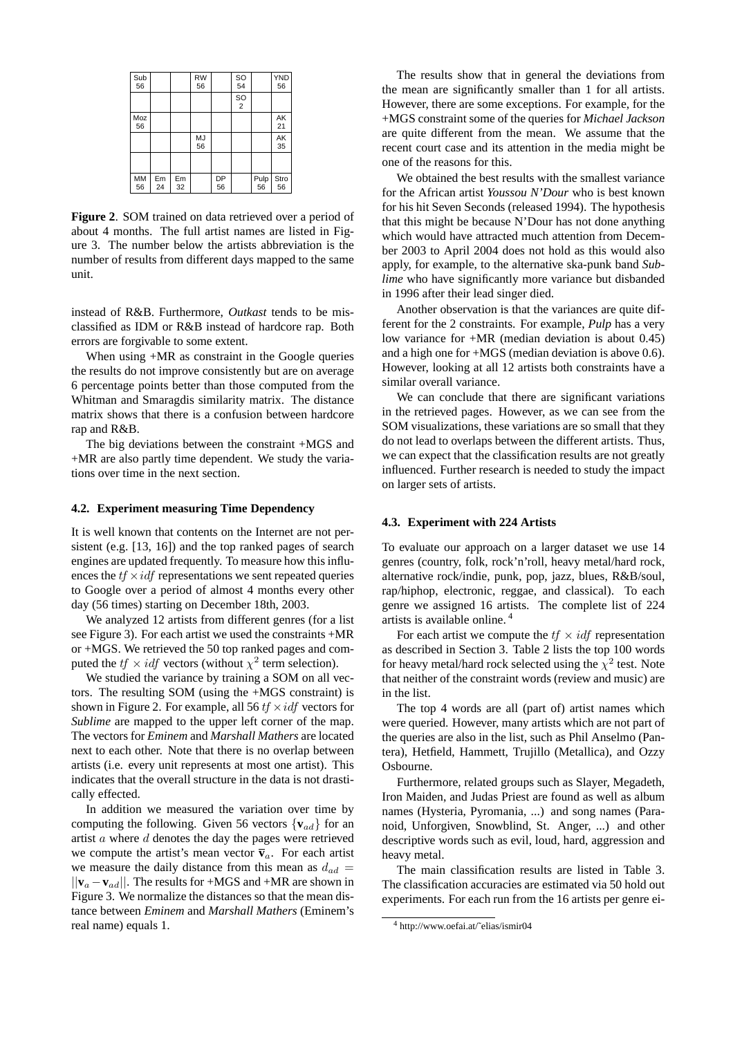| Sub<br>56       |          |          | <b>RW</b><br>56 |          | SO<br>54        |            | <b>YND</b><br>56 |
|-----------------|----------|----------|-----------------|----------|-----------------|------------|------------------|
|                 |          |          |                 |          | SO <sub>2</sub> |            |                  |
| Moz<br>56       |          |          |                 |          |                 |            | AK<br>21         |
|                 |          |          | <b>MJ</b><br>56 |          |                 |            | AK<br>35         |
|                 |          |          |                 |          |                 |            |                  |
| <b>MM</b><br>56 | Em<br>24 | Em<br>32 |                 | DP<br>56 |                 | Pulp<br>56 | Stro<br>56       |

**Figure 2**. SOM trained on data retrieved over a period of about 4 months. The full artist names are listed in Figure 3. The number below the artists abbreviation is the number of results from different days mapped to the same unit.

instead of R&B. Furthermore, *Outkast* tends to be misclassified as IDM or R&B instead of hardcore rap. Both errors are forgivable to some extent.

When using  $+MR$  as constraint in the Google queries the results do not improve consistently but are on average 6 percentage points better than those computed from the Whitman and Smaragdis similarity matrix. The distance matrix shows that there is a confusion between hardcore rap and R&B.

The big deviations between the constraint +MGS and +MR are also partly time dependent. We study the variations over time in the next section.

## **4.2. Experiment measuring Time Dependency**

It is well known that contents on the Internet are not persistent (e.g. [13, 16]) and the top ranked pages of search engines are updated frequently. To measure how this influences the  $tf \times idf$  representations we sent repeated queries to Google over a period of almost 4 months every other day (56 times) starting on December 18th, 2003.

We analyzed 12 artists from different genres (for a list see Figure 3). For each artist we used the constraints +MR or +MGS. We retrieved the 50 top ranked pages and computed the  $tf \times idf$  vectors (without  $\chi^2$  term selection).

We studied the variance by training a SOM on all vectors. The resulting SOM (using the +MGS constraint) is shown in Figure 2. For example, all 56  $tf \times idf$  vectors for *Sublime* are mapped to the upper left corner of the map. The vectors for *Eminem* and *Marshall Mathers* are located next to each other. Note that there is no overlap between artists (i.e. every unit represents at most one artist). This indicates that the overall structure in the data is not drastically effected.

In addition we measured the variation over time by computing the following. Given 56 vectors  $\{v_{ad}\}\$ for an artist  $a$  where  $d$  denotes the day the pages were retrieved we compute the artist's mean vector  $\overline{\mathbf{v}}_a$ . For each artist we measure the daily distance from this mean as  $d_{ad}$  = ||**v**<sup>a</sup> −**v**ad||. The results for +MGS and +MR are shown in Figure 3. We normalize the distances so that the mean distance between *Eminem* and *Marshall Mathers* (Eminem's real name) equals 1.

The results show that in general the deviations from the mean are significantly smaller than 1 for all artists. However, there are some exceptions. For example, for the +MGS constraint some of the queries for *Michael Jackson* are quite different from the mean. We assume that the recent court case and its attention in the media might be one of the reasons for this.

We obtained the best results with the smallest variance for the African artist *Youssou N'Dour* who is best known for his hit Seven Seconds (released 1994). The hypothesis that this might be because N'Dour has not done anything which would have attracted much attention from December 2003 to April 2004 does not hold as this would also apply, for example, to the alternative ska-punk band *Sublime* who have significantly more variance but disbanded in 1996 after their lead singer died.

Another observation is that the variances are quite different for the 2 constraints. For example, *Pulp* has a very low variance for +MR (median deviation is about 0.45) and a high one for +MGS (median deviation is above 0.6). However, looking at all 12 artists both constraints have a similar overall variance.

We can conclude that there are significant variations in the retrieved pages. However, as we can see from the SOM visualizations, these variations are so small that they do not lead to overlaps between the different artists. Thus, we can expect that the classification results are not greatly influenced. Further research is needed to study the impact on larger sets of artists.

## **4.3. Experiment with 224 Artists**

To evaluate our approach on a larger dataset we use 14 genres (country, folk, rock'n'roll, heavy metal/hard rock, alternative rock/indie, punk, pop, jazz, blues, R&B/soul, rap/hiphop, electronic, reggae, and classical). To each genre we assigned 16 artists. The complete list of 224 artists is available online. <sup>4</sup>

For each artist we compute the  $tf \times idf$  representation as described in Section 3. Table 2 lists the top 100 words for heavy metal/hard rock selected using the  $\chi^2$  test. Note that neither of the constraint words (review and music) are in the list.

The top 4 words are all (part of) artist names which were queried. However, many artists which are not part of the queries are also in the list, such as Phil Anselmo (Pantera), Hetfield, Hammett, Trujillo (Metallica), and Ozzy Osbourne.

Furthermore, related groups such as Slayer, Megadeth, Iron Maiden, and Judas Priest are found as well as album names (Hysteria, Pyromania, ...) and song names (Paranoid, Unforgiven, Snowblind, St. Anger, ...) and other descriptive words such as evil, loud, hard, aggression and heavy metal.

The main classification results are listed in Table 3. The classification accuracies are estimated via 50 hold out experiments. For each run from the 16 artists per genre ei-

<sup>4</sup> http://www.oefai.at/˜elias/ismir04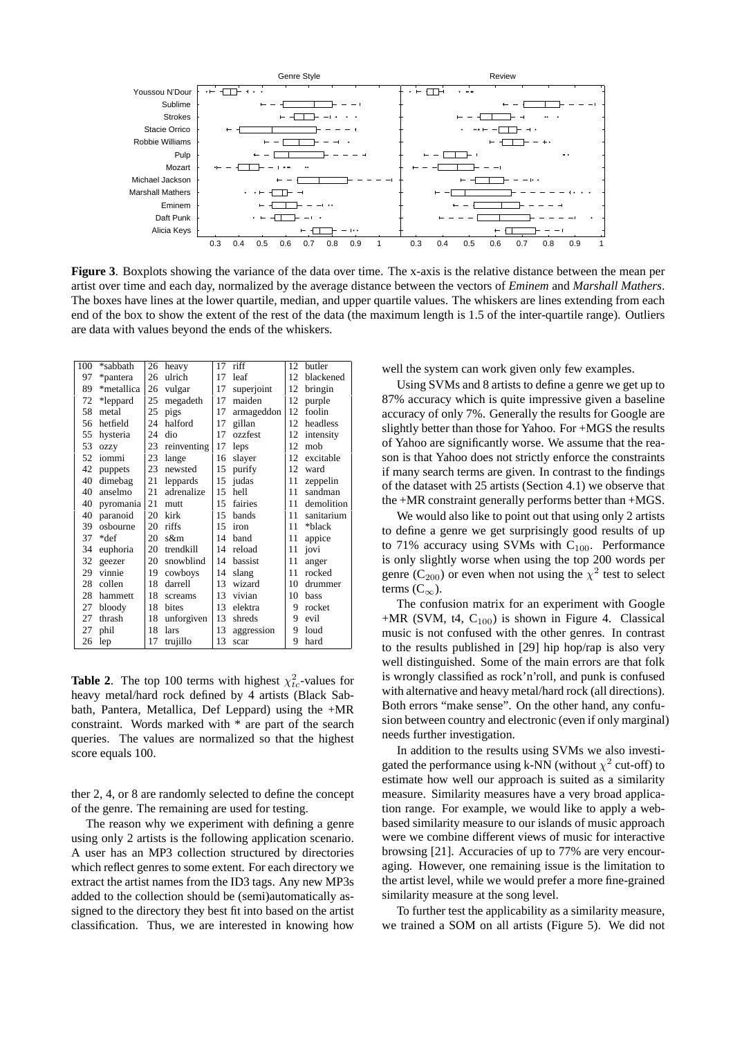

**Figure 3**. Boxplots showing the variance of the data over time. The x-axis is the relative distance between the mean per artist over time and each day, normalized by the average distance between the vectors of *Eminem* and *Marshall Mathers*. The boxes have lines at the lower quartile, median, and upper quartile values. The whiskers are lines extending from each end of the box to show the extent of the rest of the data (the maximum length is 1.5 of the inter-quartile range). Outliers are data with values beyond the ends of the whiskers.

| 100 | *sabbath   | 26 | heavy        | 17 | riff       | 12  | butler     |
|-----|------------|----|--------------|----|------------|-----|------------|
| 97  | *pantera   | 26 | ulrich       | 17 | leaf       | 12  | blackened  |
| 89  | *metallica | 26 | vulgar       | 17 | superjoint | 12  | bringin    |
| 72  | *leppard   | 25 | megadeth     | 17 | maiden     | 12  | purple     |
| 58  | metal      | 25 | pigs         | 17 | armageddon | 12  | foolin     |
| 56  | hetfield   | 24 | halford      | 17 | gillan     | 12. | headless   |
| 55  | hysteria   | 24 | dio          | 17 | ozzfest    | 12  | intensity  |
| 53  | ozzy       | 23 | reinventing  | 17 | leps       | 12  | mob        |
| 52  | iommi      | 23 | lange        | 16 | slayer     | 12  | excitable  |
| 42  | puppets    | 23 | newsted      | 15 | purify     | 12  | ward       |
| 40  | dimebag    | 21 | leppards     | 15 | judas      | 11  | zeppelin   |
| 40  | anselmo    | 21 | adrenalize   | 15 | hell       | 11  | sandman    |
| 40  | pyromania  | 21 | mutt         | 15 | fairies    | 11  | demolition |
| 40  | paranoid   | 20 | kirk         | 15 | bands      | 11  | sanitarium |
| 39  | osbourne   | 20 | riffs        | 15 | iron       | 11  | *black     |
| 37  | *def       | 20 | s&m          | 14 | band       | 11  | appice     |
| 34  | euphoria   | 20 | trendkill    | 14 | reload     | 11  | jovi       |
| 32  | geezer     | 20 | snowblind    | 14 | bassist    | 11  | anger      |
| 29  | vinnie     | 19 | cowboys      | 14 | slang      | 11  | rocked     |
| 28  | collen     | 18 | darrell      | 13 | wizard     | 10  | drummer    |
| 28  | hammett    | 18 | screams      | 13 | vivian     | 10  | bass       |
| 27  | bloody     | 18 | <b>bites</b> | 13 | elektra    | 9   | rocket     |
| 27  | thrash     | 18 | unforgiven   | 13 | shreds     | 9   | evil       |
| 27  | phil       | 18 | lars         | 13 | aggression | 9   | loud       |
| 26  | lep        | 17 | trujillo     | 13 | scar       | 9   | hard       |

**Table 2.** The top 100 terms with highest  $\chi^2_{tc}$ -values for heavy metal/hard rock defined by 4 artists (Black Sabbath, Pantera, Metallica, Def Leppard) using the +MR constraint. Words marked with \* are part of the search queries. The values are normalized so that the highest score equals 100.

ther 2, 4, or 8 are randomly selected to define the concept of the genre. The remaining are used for testing.

The reason why we experiment with defining a genre using only 2 artists is the following application scenario. A user has an MP3 collection structured by directories which reflect genres to some extent. For each directory we extract the artist names from the ID3 tags. Any new MP3s added to the collection should be (semi)automatically assigned to the directory they best fit into based on the artist classification. Thus, we are interested in knowing how well the system can work given only few examples.

Using SVMs and 8 artists to define a genre we get up to 87% accuracy which is quite impressive given a baseline accuracy of only 7%. Generally the results for Google are slightly better than those for Yahoo. For +MGS the results of Yahoo are significantly worse. We assume that the reason is that Yahoo does not strictly enforce the constraints if many search terms are given. In contrast to the findings of the dataset with 25 artists (Section 4.1) we observe that the +MR constraint generally performs better than +MGS.

We would also like to point out that using only 2 artists to define a genre we get surprisingly good results of up to 71% accuracy using SVMs with  $C_{100}$ . Performance is only slightly worse when using the top 200 words per genre (C<sub>200</sub>) or even when not using the  $\chi^2$  test to select terms  $(C_{\infty})$ .

The confusion matrix for an experiment with Google  $+MR$  (SVM, t4, C<sub>100</sub>) is shown in Figure 4. Classical music is not confused with the other genres. In contrast to the results published in [29] hip hop/rap is also very well distinguished. Some of the main errors are that folk is wrongly classified as rock'n'roll, and punk is confused with alternative and heavy metal/hard rock (all directions). Both errors "make sense". On the other hand, any confusion between country and electronic (even if only marginal) needs further investigation.

In addition to the results using SVMs we also investigated the performance using k-NN (without  $\chi^2$  cut-off) to estimate how well our approach is suited as a similarity measure. Similarity measures have a very broad application range. For example, we would like to apply a webbased similarity measure to our islands of music approach were we combine different views of music for interactive browsing [21]. Accuracies of up to 77% are very encouraging. However, one remaining issue is the limitation to the artist level, while we would prefer a more fine-grained similarity measure at the song level.

To further test the applicability as a similarity measure, we trained a SOM on all artists (Figure 5). We did not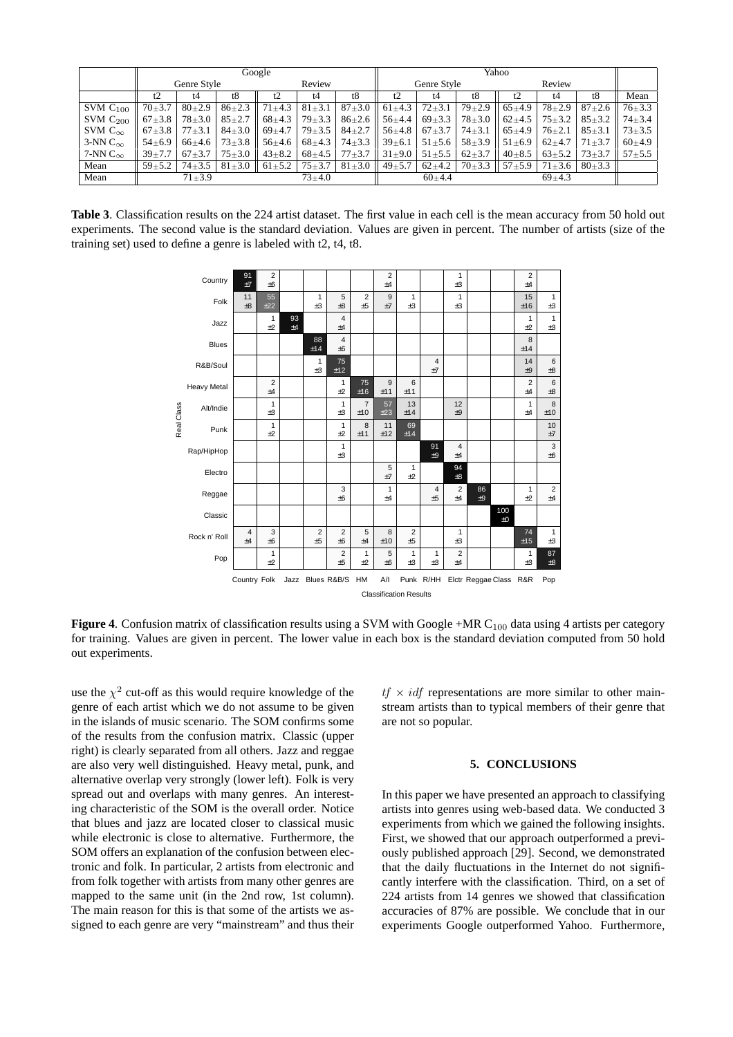|                     | Google                |              |                 |                        |              | Yahoo        |                                      |              |              |              |              |          |                             |
|---------------------|-----------------------|--------------|-----------------|------------------------|--------------|--------------|--------------------------------------|--------------|--------------|--------------|--------------|----------|-----------------------------|
|                     | Review<br>Genre Style |              | Genre Style     |                        |              | Review       |                                      |              |              |              |              |          |                             |
|                     | t2                    | t4           | t8              |                        | t4           | t8           |                                      | t4           | t8           |              | t4           | t8       | Mean                        |
| SVMC <sub>100</sub> | $70+3.7$              | $80+2.9$     | $86 + 2.3$      | $71 \pm 4.3$           | $81 \pm 3.1$ | $87 + 3.0$   | $61 \pm 4.3$                         | $72 + 3.1$   | $79 + 2.9$   | $65+4.9$     | $78 \pm 2.9$ |          | $87+2.6$   $76+3.3$         |
| SVM $C_{200}$       | $67\pm3.8$            | $78 \pm 3.0$ | $85 \pm 2.7$    | $68+4.3$               | $79 + 3.3$   | $86 \pm 2.6$ | $56+4.4$                             | $69 + 3.3$   | $78 \pm 3.0$ | $62+4.5$     | $75 \pm 3.2$ |          | $85 \pm 3.2$   $74 \pm 3.4$ |
| SVM $C_{\infty}$    | $67\pm3.8$            | $77\pm3.1$   | $84 \pm 3.0$    | $69+4.7$               | $79 \pm 3.5$ | $84 \pm 2.7$ | $156 \pm 4.8$                        | $67 + 3.7$   | $74 \pm 3.1$ | $65+4.9$     | $76 \pm 2.1$ |          | $85 \pm 3.1$   $73 \pm 3.5$ |
| 3-NN $C_{\infty}$   | $54 \pm 6.9$          | $66+4.6$     | $73 \pm 3.8$ II | $56 \pm 4.6$           | $68 + 4.3$   | $74 \pm 3.3$ | $139 \pm 6.1$                        | $51 \pm 5.6$ | $58 \pm 3.9$ | $51 \pm 6.9$ | $62+4.7$     |          | $71\pm3.7$   $60\pm4.9$     |
| 7-NN $C_{\infty}$   | $39 + 7.7$            | $67 + 3.7$   | $75 \pm 3.0$ II | $43 + 8.2$             | $68 + 4.5$   |              | $77\pm3.7$   $31\pm9.0$   $51\pm5.5$ |              | $62+3.7$     | $40\pm8.5$   | $63 \pm 5.2$ |          | $73 \pm 3.7$   $57 \pm 5.5$ |
| Mean                | $59 + 5.2$            | $74 + 3.5$   |                 | $81\pm3.0$ 61 $\pm5.2$ | $75 + 3.7$   | $81 \pm 3.0$ | $149 \pm 5.7$                        | $62+4.2$     | $70\pm3.3$   | $57 + 5.9$   | $71 \pm 3.6$ | $80+3.3$ |                             |
| Mean                |                       | $71 + 3.9$   |                 |                        | $73 + 4.0$   |              |                                      | $60+4.4$     |              |              | $69+4.3$     |          |                             |

**Table 3**. Classification results on the 224 artist dataset. The first value in each cell is the mean accuracy from 50 hold out experiments. The second value is the standard deviation. Values are given in percent. The number of artists (size of the training set) used to define a genre is labeled with t2, t4, t8.



**Figure 4.** Confusion matrix of classification results using a SVM with Google +MR C<sub>100</sub> data using 4 artists per category for training. Values are given in percent. The lower value in each box is the standard deviation computed from 50 hold out experiments.

use the  $\chi^2$  cut-off as this would require knowledge of the genre of each artist which we do not assume to be given in the islands of music scenario. The SOM confirms some of the results from the confusion matrix. Classic (upper right) is clearly separated from all others. Jazz and reggae are also very well distinguished. Heavy metal, punk, and alternative overlap very strongly (lower left). Folk is very spread out and overlaps with many genres. An interesting characteristic of the SOM is the overall order. Notice that blues and jazz are located closer to classical music while electronic is close to alternative. Furthermore, the SOM offers an explanation of the confusion between electronic and folk. In particular, 2 artists from electronic and from folk together with artists from many other genres are mapped to the same unit (in the 2nd row, 1st column). The main reason for this is that some of the artists we assigned to each genre are very "mainstream" and thus their

 $tf \times idf$  representations are more similar to other mainstream artists than to typical members of their genre that are not so popular.

## **5. CONCLUSIONS**

In this paper we have presented an approach to classifying artists into genres using web-based data. We conducted 3 experiments from which we gained the following insights. First, we showed that our approach outperformed a previously published approach [29]. Second, we demonstrated that the daily fluctuations in the Internet do not significantly interfere with the classification. Third, on a set of 224 artists from 14 genres we showed that classification accuracies of 87% are possible. We conclude that in our experiments Google outperformed Yahoo. Furthermore,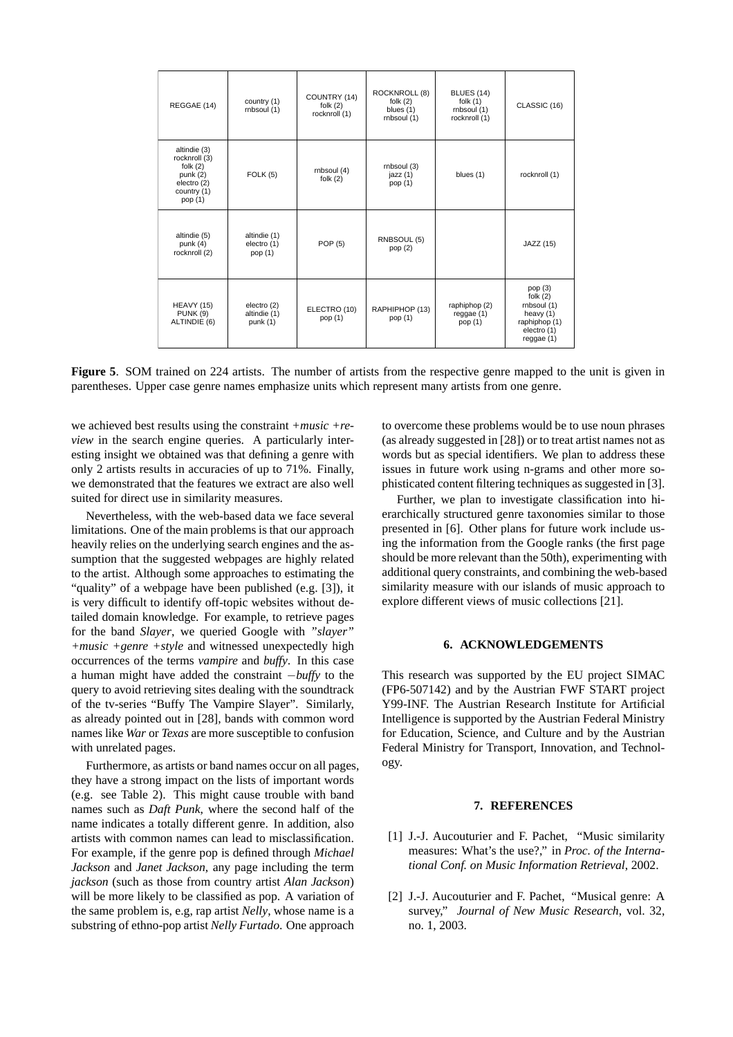| REGGAE (14)                                                                                        | country (1)<br>rnbsoul (1)                | COUNTRY (14)<br>folk $(2)$<br>rocknroll (1) | ROCKNROLL (8)<br>folk $(2)$<br>blues (1)<br>rnbsoul (1) | <b>BLUES (14)</b><br>folk $(1)$<br>rnbsoul (1)<br>rocknroll (1) | CLASSIC (16)                                                                                          |
|----------------------------------------------------------------------------------------------------|-------------------------------------------|---------------------------------------------|---------------------------------------------------------|-----------------------------------------------------------------|-------------------------------------------------------------------------------------------------------|
| altindie (3)<br>rocknroll (3)<br>folk $(2)$<br>punk $(2)$<br>electro (2)<br>country (1)<br>pop (1) | FOLK(5)                                   | rnbsoul (4)<br>folk $(2)$                   | rnbsoul (3)<br>jazz(1)<br>pop (1)                       | blues (1)                                                       | rocknroll (1)                                                                                         |
| altindie (5)<br>punk $(4)$<br>rocknroll (2)                                                        | altindie (1)<br>electro (1)<br>pop (1)    | <b>POP (5)</b>                              | RNBSOUL (5)<br>pop $(2)$                                |                                                                 | JAZZ (15)                                                                                             |
| <b>HEAVY (15)</b><br><b>PUNK (9)</b><br>ALTINDIE (6)                                               | electro (2)<br>altindie (1)<br>punk $(1)$ | ELECTRO (10)<br>pop (1)                     | RAPHIPHOP (13)<br>pop (1)                               | raphiphop (2)<br>reggae (1)<br>pop (1)                          | pop $(3)$<br>folk $(2)$<br>rnbsoul (1)<br>heavy $(1)$<br>raphiphop (1)<br>electro (1)<br>reggae $(1)$ |

**Figure 5**. SOM trained on 224 artists. The number of artists from the respective genre mapped to the unit is given in parentheses. Upper case genre names emphasize units which represent many artists from one genre.

we achieved best results using the constraint *+music +review* in the search engine queries. A particularly interesting insight we obtained was that defining a genre with only 2 artists results in accuracies of up to 71%. Finally, we demonstrated that the features we extract are also well suited for direct use in similarity measures.

Nevertheless, with the web-based data we face several limitations. One of the main problems is that our approach heavily relies on the underlying search engines and the assumption that the suggested webpages are highly related to the artist. Although some approaches to estimating the "quality" of a webpage have been published (e.g. [3]), it is very difficult to identify off-topic websites without detailed domain knowledge. For example, to retrieve pages for the band *Slayer*, we queried Google with *"slayer" +music +genre +style* and witnessed unexpectedly high occurrences of the terms *vampire* and *buffy*. In this case a human might have added the constraint −*buffy* to the query to avoid retrieving sites dealing with the soundtrack of the tv-series "Buffy The Vampire Slayer". Similarly, as already pointed out in [28], bands with common word names like *War* or *Texas* are more susceptible to confusion with unrelated pages.

Furthermore, as artists or band names occur on all pages, they have a strong impact on the lists of important words (e.g. see Table 2). This might cause trouble with band names such as *Daft Punk*, where the second half of the name indicates a totally different genre. In addition, also artists with common names can lead to misclassification. For example, if the genre pop is defined through *Michael Jackson* and *Janet Jackson*, any page including the term *jackson* (such as those from country artist *Alan Jackson*) will be more likely to be classified as pop. A variation of the same problem is, e.g, rap artist *Nelly*, whose name is a substring of ethno-pop artist *Nelly Furtado*. One approach

to overcome these problems would be to use noun phrases (as already suggested in [28]) or to treat artist names not as words but as special identifiers. We plan to address these issues in future work using n-grams and other more sophisticated content filtering techniques as suggested in [3].

Further, we plan to investigate classification into hierarchically structured genre taxonomies similar to those presented in [6]. Other plans for future work include using the information from the Google ranks (the first page should be more relevant than the 50th), experimenting with additional query constraints, and combining the web-based similarity measure with our islands of music approach to explore different views of music collections [21].

## **6. ACKNOWLEDGEMENTS**

This research was supported by the EU project SIMAC (FP6-507142) and by the Austrian FWF START project Y99-INF. The Austrian Research Institute for Artificial Intelligence is supported by the Austrian Federal Ministry for Education, Science, and Culture and by the Austrian Federal Ministry for Transport, Innovation, and Technology.

## **7. REFERENCES**

- [1] J.-J. Aucouturier and F. Pachet, "Music similarity measures: What's the use?," in *Proc. of the International Conf. on Music Information Retrieval*, 2002.
- [2] J.-J. Aucouturier and F. Pachet, "Musical genre: A survey," *Journal of New Music Research*, vol. 32, no. 1, 2003.